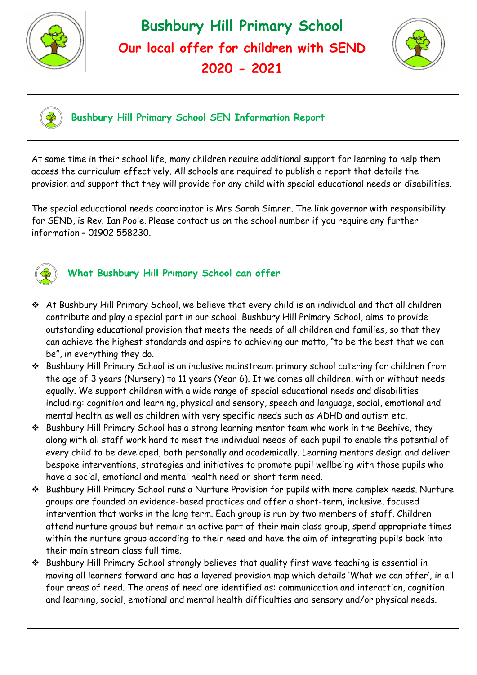





#### **Bushbury Hill Primary School SEN Information Report**

At some time in their school life, many children require additional support for learning to help them access the curriculum effectively. All schools are required to publish a report that details the provision and support that they will provide for any child with special educational needs or disabilities.

The special educational needs coordinator is Mrs Sarah Simner. The link governor with responsibility for SEND, is Rev. Ian Poole. Please contact us on the school number if you require any further information – 01902 558230.



# **What Bushbury Hill Primary School can offer**

- At Bushbury Hill Primary School, we believe that every child is an individual and that all children contribute and play a special part in our school. Bushbury Hill Primary School, aims to provide outstanding educational provision that meets the needs of all children and families, so that they can achieve the highest standards and aspire to achieving our motto, "to be the best that we can be", in everything they do.
- Bushbury Hill Primary School is an inclusive mainstream primary school catering for children from the age of 3 years (Nursery) to 11 years (Year 6). It welcomes all children, with or without needs equally. We support children with a wide range of special educational needs and disabilities including: cognition and learning, physical and sensory, speech and language, social, emotional and mental health as well as children with very specific needs such as ADHD and autism etc.
- Bushbury Hill Primary School has a strong learning mentor team who work in the Beehive, they along with all staff work hard to meet the individual needs of each pupil to enable the potential of every child to be developed, both personally and academically. Learning mentors design and deliver bespoke interventions, strategies and initiatives to promote pupil wellbeing with those pupils who have a social, emotional and mental health need or short term need.
- Bushbury Hill Primary School runs a Nurture Provision for pupils with more complex needs. Nurture groups are founded on evidence-based practices and offer a short-term, inclusive, focused intervention that works in the long term. Each group is run by two members of staff. Children attend nurture groups but remain an active part of their main class group, spend appropriate times within the nurture group according to their need and have the aim of integrating pupils back into their main stream class full time.
- Bushbury Hill Primary School strongly believes that quality first wave teaching is essential in moving all learners forward and has a layered provision map which details 'What we can offer', in all four areas of need. The areas of need are identified as: communication and interaction, cognition and learning, social, emotional and mental health difficulties and sensory and/or physical needs.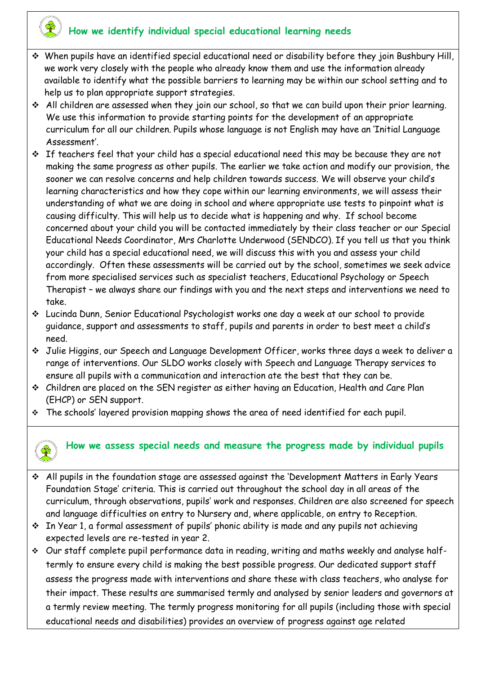## **How we identify individual special educational learning needs**

- When pupils have an identified special educational need or disability before they join Bushbury Hill, we work very closely with the people who already know them and use the information already available to identify what the possible barriers to learning may be within our school setting and to help us to plan appropriate support strategies.
- All children are assessed when they join our school, so that we can build upon their prior learning. We use this information to provide starting points for the development of an appropriate curriculum for all our children. Pupils whose language is not English may have an 'Initial Language Assessment'.
- $\cdot$  If teachers feel that your child has a special educational need this may be because they are not making the same progress as other pupils. The earlier we take action and modify our provision, the sooner we can resolve concerns and help children towards success. We will observe your child's learning characteristics and how they cope within our learning environments, we will assess their understanding of what we are doing in school and where appropriate use tests to pinpoint what is causing difficulty. This will help us to decide what is happening and why. If school become concerned about your child you will be contacted immediately by their class teacher or our Special Educational Needs Coordinator, Mrs Charlotte Underwood (SENDCO). If you tell us that you think your child has a special educational need, we will discuss this with you and assess your child accordingly. Often these assessments will be carried out by the school, sometimes we seek advice from more specialised services such as specialist teachers, Educational Psychology or Speech Therapist – we always share our findings with you and the next steps and interventions we need to take.
- Lucinda Dunn, Senior Educational Psychologist works one day a week at our school to provide guidance, support and assessments to staff, pupils and parents in order to best meet a child's need.
- Julie Higgins, our Speech and Language Development Officer, works three days a week to deliver a range of interventions. Our SLDO works closely with Speech and Language Therapy services to ensure all pupils with a communication and interaction ate the best that they can be.
- Children are placed on the SEN register as either having an Education, Health and Care Plan (EHCP) or SEN support.
- The schools' layered provision mapping shows the area of need identified for each pupil.



# **How we assess special needs and measure the progress made by individual pupils**

- All pupils in the foundation stage are assessed against the 'Development Matters in Early Years Foundation Stage' criteria. This is carried out throughout the school day in all areas of the curriculum, through observations, pupils' work and responses. Children are also screened for speech and language difficulties on entry to Nursery and, where applicable, on entry to Reception.
- $\cdot$  In Year 1, a formal assessment of pupils' phonic ability is made and any pupils not achieving expected levels are re-tested in year 2.
- Our staff complete pupil performance data in reading, writing and maths weekly and analyse halftermly to ensure every child is making the best possible progress. Our dedicated support staff assess the progress made with interventions and share these with class teachers, who analyse for their impact. These results are summarised termly and analysed by senior leaders and governors at a termly review meeting. The termly progress monitoring for all pupils (including those with special educational needs and disabilities) provides an overview of progress against age related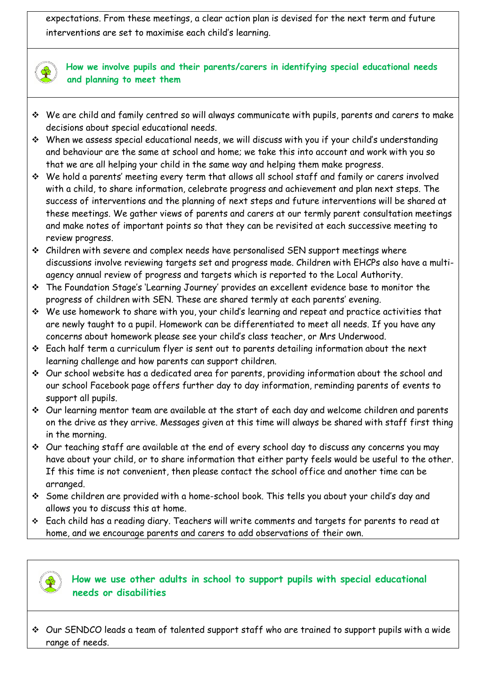expectations. From these meetings, a clear action plan is devised for the next term and future interventions are set to maximise each child's learning.



#### **How we involve pupils and their parents/carers in identifying special educational needs and planning to meet them**

- We are child and family centred so will always communicate with pupils, parents and carers to make decisions about special educational needs.
- When we assess special educational needs, we will discuss with you if your child's understanding and behaviour are the same at school and home; we take this into account and work with you so that we are all helping your child in the same way and helping them make progress.
- We hold a parents' meeting every term that allows all school staff and family or carers involved with a child, to share information, celebrate progress and achievement and plan next steps. The success of interventions and the planning of next steps and future interventions will be shared at these meetings. We gather views of parents and carers at our termly parent consultation meetings and make notes of important points so that they can be revisited at each successive meeting to review progress.
- $\div$  Children with severe and complex needs have personalised SEN support meetings where discussions involve reviewing targets set and progress made. Children with EHCPs also have a multiagency annual review of progress and targets which is reported to the Local Authority.
- The Foundation Stage's 'Learning Journey' provides an excellent evidence base to monitor the progress of children with SEN. These are shared termly at each parents' evening.
- We use homework to share with you, your child's learning and repeat and practice activities that are newly taught to a pupil. Homework can be differentiated to meet all needs. If you have any concerns about homework please see your child's class teacher, or Mrs Underwood.
- Each half term a curriculum flyer is sent out to parents detailing information about the next learning challenge and how parents can support children.
- Our school website has a dedicated area for parents, providing information about the school and our school Facebook page offers further day to day information, reminding parents of events to support all pupils.
- Our learning mentor team are available at the start of each day and welcome children and parents on the drive as they arrive. Messages given at this time will always be shared with staff first thing in the morning.
- Our teaching staff are available at the end of every school day to discuss any concerns you may have about your child, or to share information that either party feels would be useful to the other. If this time is not convenient, then please contact the school office and another time can be arranged.
- Some children are provided with a home-school book. This tells you about your child's day and allows you to discuss this at home.
- Each child has a reading diary. Teachers will write comments and targets for parents to read at home, and we encourage parents and carers to add observations of their own.



### **How we use other adults in school to support pupils with special educational needs or disabilities**

 Our SENDCO leads a team of talented support staff who are trained to support pupils with a wide range of needs.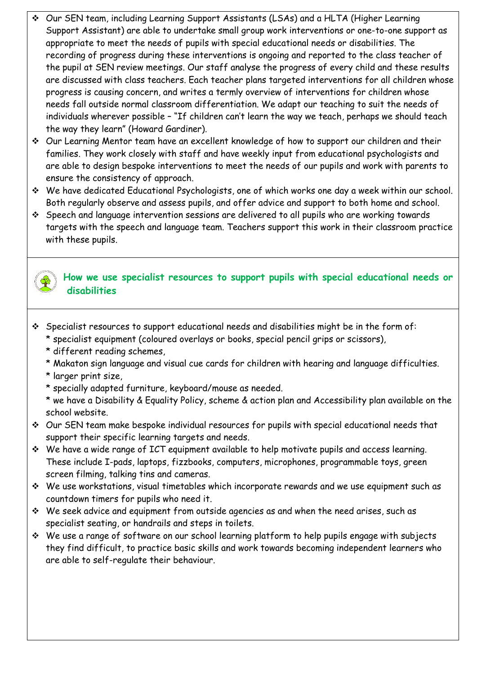- Our SEN team, including Learning Support Assistants (LSAs) and a HLTA (Higher Learning Support Assistant) are able to undertake small group work interventions or one-to-one support as appropriate to meet the needs of pupils with special educational needs or disabilities. The recording of progress during these interventions is ongoing and reported to the class teacher of the pupil at SEN review meetings. Our staff analyse the progress of every child and these results are discussed with class teachers. Each teacher plans targeted interventions for all children whose progress is causing concern, and writes a termly overview of interventions for children whose needs fall outside normal classroom differentiation. We adapt our teaching to suit the needs of individuals wherever possible – "If children can't learn the way we teach, perhaps we should teach the way they learn" (Howard Gardiner).
- Our Learning Mentor team have an excellent knowledge of how to support our children and their families. They work closely with staff and have weekly input from educational psychologists and are able to design bespoke interventions to meet the needs of our pupils and work with parents to ensure the consistency of approach.
- We have dedicated Educational Psychologists, one of which works one day a week within our school. Both regularly observe and assess pupils, and offer advice and support to both home and school.
- Speech and language intervention sessions are delivered to all pupils who are working towards targets with the speech and language team. Teachers support this work in their classroom practice with these pupils.

#### **How we use specialist resources to support pupils with special educational needs or disabilities**

- Specialist resources to support educational needs and disabilities might be in the form of:
	- \* specialist equipment (coloured overlays or books, special pencil grips or scissors),
	- \* different reading schemes,
	- \* Makaton sign language and visual cue cards for children with hearing and language difficulties.
	- \* larger print size,
	- \* specially adapted furniture, keyboard/mouse as needed.
	- \* we have a Disability & Equality Policy, scheme & action plan and Accessibility plan available on the school website.
- Our SEN team make bespoke individual resources for pupils with special educational needs that support their specific learning targets and needs.
- We have a wide range of ICT equipment available to help motivate pupils and access learning. These include I-pads, laptops, fizzbooks, computers, microphones, programmable toys, green screen filming, talking tins and cameras.
- $\div$  We use workstations, visual timetables which incorporate rewards and we use equipment such as countdown timers for pupils who need it.
- We seek advice and equipment from outside agencies as and when the need arises, such as specialist seating, or handrails and steps in toilets.
- $\div$  We use a range of software on our school learning platform to help pupils engage with subjects they find difficult, to practice basic skills and work towards becoming independent learners who are able to self-regulate their behaviour.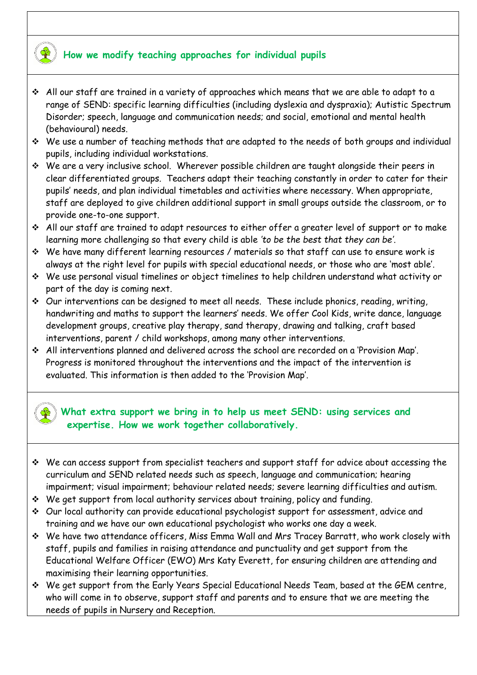### **How we modify teaching approaches for individual pupils**

- $\div$  All our staff are trained in a variety of approaches which means that we are able to adapt to a range of SEND: specific learning difficulties (including dyslexia and dyspraxia); Autistic Spectrum Disorder; speech, language and communication needs; and social, emotional and mental health (behavioural) needs.
- $\div$  We use a number of teaching methods that are adapted to the needs of both groups and individual pupils, including individual workstations.
- We are a very inclusive school. Wherever possible children are taught alongside their peers in clear differentiated groups. Teachers adapt their teaching constantly in order to cater for their pupils' needs, and plan individual timetables and activities where necessary. When appropriate, staff are deployed to give children additional support in small groups outside the classroom, or to provide one-to-one support.
- All our staff are trained to adapt resources to either offer a greater level of support or to make learning more challenging so that every child is able *'to be the best that they can be'*.
- We have many different learning resources / materials so that staff can use to ensure work is always at the right level for pupils with special educational needs, or those who are 'most able'.
- We use personal visual timelines or object timelines to help children understand what activity or part of the day is coming next.
- Our interventions can be designed to meet all needs. These include phonics, reading, writing, handwriting and maths to support the learners' needs. We offer Cool Kids, write dance, language development groups, creative play therapy, sand therapy, drawing and talking, craft based interventions, parent / child workshops, among many other interventions.
- All interventions planned and delivered across the school are recorded on a 'Provision Map'. Progress is monitored throughout the interventions and the impact of the intervention is evaluated. This information is then added to the 'Provision Map'.

#### **What extra support we bring in to help us meet SEND: using services and expertise. How we work together collaboratively.**

- We can access support from specialist teachers and support staff for advice about accessing the curriculum and SEND related needs such as speech, language and communication; hearing impairment; visual impairment; behaviour related needs; severe learning difficulties and autism.
- We get support from local authority services about training, policy and funding.
- Our local authority can provide educational psychologist support for assessment, advice and training and we have our own educational psychologist who works one day a week.
- We have two attendance officers, Miss Emma Wall and Mrs Tracey Barratt, who work closely with staff, pupils and families in raising attendance and punctuality and get support from the Educational Welfare Officer (EWO) Mrs Katy Everett, for ensuring children are attending and maximising their learning opportunities.
- We get support from the Early Years Special Educational Needs Team, based at the GEM centre, who will come in to observe, support staff and parents and to ensure that we are meeting the needs of pupils in Nursery and Reception.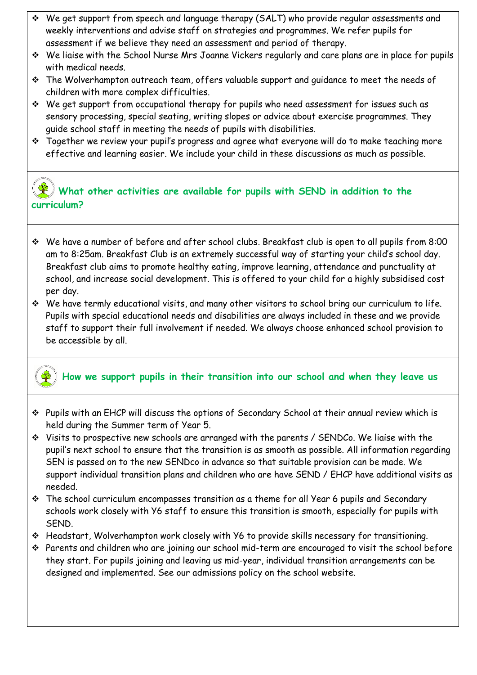- We get support from speech and language therapy (SALT) who provide regular assessments and weekly interventions and advise staff on strategies and programmes. We refer pupils for assessment if we believe they need an assessment and period of therapy.
- We liaise with the School Nurse Mrs Joanne Vickers regularly and care plans are in place for pupils with medical needs.
- The Wolverhampton outreach team, offers valuable support and guidance to meet the needs of children with more complex difficulties.
- We get support from occupational therapy for pupils who need assessment for issues such as sensory processing, special seating, writing slopes or advice about exercise programmes. They guide school staff in meeting the needs of pupils with disabilities.
- \* Together we review your pupil's progress and agree what everyone will do to make teaching more effective and learning easier. We include your child in these discussions as much as possible.

## **What other activities are available for pupils with SEND in addition to the curriculum?**

 $\overline{a}$ 

- We have a number of before and after school clubs. Breakfast club is open to all pupils from 8:00 am to 8:25am. Breakfast Club is an extremely successful way of starting your child's school day. Breakfast club aims to promote healthy eating, improve learning, attendance and punctuality at school, and increase social development. This is offered to your child for a highly subsidised cost per day.
- We have termly educational visits, and many other visitors to school bring our curriculum to life. Pupils with special educational needs and disabilities are always included in these and we provide staff to support their full involvement if needed. We always choose enhanced school provision to be accessible by all.

#### **How we support pupils in their transition into our school and when they leave us**

- Pupils with an EHCP will discuss the options of Secondary School at their annual review which is held during the Summer term of Year 5.
- Visits to prospective new schools are arranged with the parents / SENDCo. We liaise with the pupil's next school to ensure that the transition is as smooth as possible. All information regarding SEN is passed on to the new SENDco in advance so that suitable provision can be made. We support individual transition plans and children who are have SEND / EHCP have additional visits as needed.
- The school curriculum encompasses transition as a theme for all Year 6 pupils and Secondary schools work closely with Y6 staff to ensure this transition is smooth, especially for pupils with SEND.
- Headstart, Wolverhampton work closely with Y6 to provide skills necessary for transitioning.
- Parents and children who are joining our school mid-term are encouraged to visit the school before they start. For pupils joining and leaving us mid-year, individual transition arrangements can be designed and implemented. See our admissions policy on the school website.